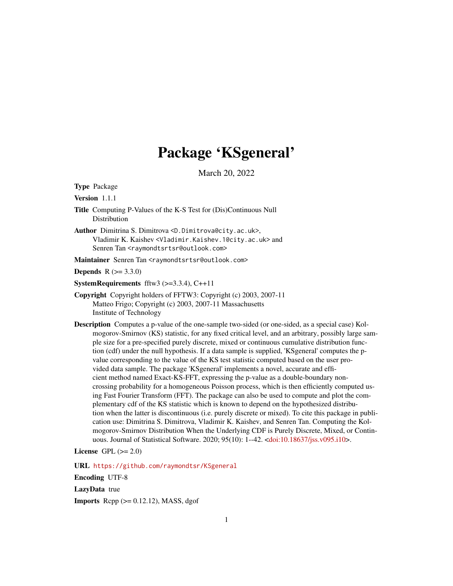# Package 'KSgeneral'

March 20, 2022

<span id="page-0-0"></span>Type Package

Version 1.1.1

- Title Computing P-Values of the K-S Test for (Dis)Continuous Null Distribution
- Author Dimitrina S. Dimitrova <D.Dimitrova@city.ac.uk>, Vladimir K. Kaishev <Vladimir.Kaishev.1@city.ac.uk> and Senren Tan <raymondtsrtsr@outlook.com>

Maintainer Senren Tan <raymondtsrtsr@outlook.com>

**Depends**  $R (= 3.3.0)$ 

**SystemRequirements** fftw3  $(>=3.3.4)$ , C++11

- Copyright Copyright holders of FFTW3: Copyright (c) 2003, 2007-11 Matteo Frigo; Copyright (c) 2003, 2007-11 Massachusetts Institute of Technology
- Description Computes a p-value of the one-sample two-sided (or one-sided, as a special case) Kolmogorov-Smirnov (KS) statistic, for any fixed critical level, and an arbitrary, possibly large sample size for a pre-specified purely discrete, mixed or continuous cumulative distribution function (cdf) under the null hypothesis. If a data sample is supplied, 'KSgeneral' computes the pvalue corresponding to the value of the KS test statistic computed based on the user provided data sample. The package 'KSgeneral' implements a novel, accurate and efficient method named Exact-KS-FFT, expressing the p-value as a double-boundary noncrossing probability for a homogeneous Poisson process, which is then efficiently computed using Fast Fourier Transform (FFT). The package can also be used to compute and plot the complementary cdf of the KS statistic which is known to depend on the hypothesized distribution when the latter is discontinuous (i.e. purely discrete or mixed). To cite this package in publication use: Dimitrina S. Dimitrova, Vladimir K. Kaishev, and Senren Tan. Computing the Kolmogorov-Smirnov Distribution When the Underlying CDF is Purely Discrete, Mixed, or Continuous. Journal of Statistical Software. 2020; 95(10): 1--42. [<doi:10.18637/jss.v095.i10>](https://doi.org/10.18637/jss.v095.i10).

License GPL  $(>= 2.0)$ 

URL <https://github.com/raymondtsr/KSgeneral>

Encoding UTF-8

LazyData true

**Imports** Rcpp  $(>= 0.12.12)$ , MASS, dgof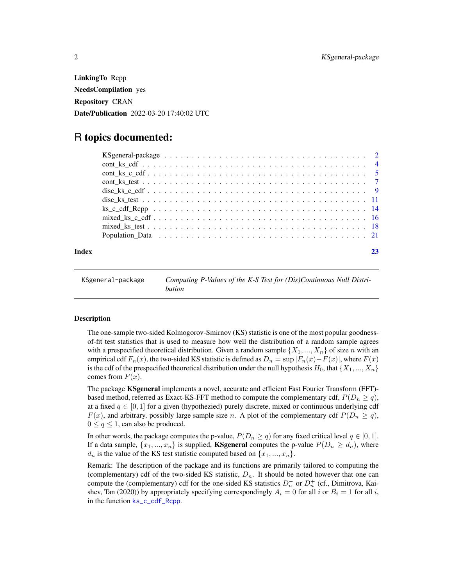<span id="page-1-0"></span>LinkingTo Rcpp NeedsCompilation yes Repository CRAN Date/Publication 2022-03-20 17:40:02 UTC

# R topics documented:

|       | Population Data $\ldots \ldots \ldots \ldots \ldots \ldots \ldots \ldots \ldots \ldots \ldots \ldots \ldots$ |  |
|-------|--------------------------------------------------------------------------------------------------------------|--|
| Index |                                                                                                              |  |

| KSgeneral-package | Computing P-Values of the K-S Test for (Dis)Continuous Null Distri- |
|-------------------|---------------------------------------------------------------------|
|                   | bution                                                              |

#### Description

The one-sample two-sided Kolmogorov-Smirnov (KS) statistic is one of the most popular goodnessof-fit test statistics that is used to measure how well the distribution of a random sample agrees with a prespecified theoretical distribution. Given a random sample  $\{X_1, ..., X_n\}$  of size n with an empirical cdf  $F_n(x)$ , the two-sided KS statistic is defined as  $D_n = \sup |F_n(x) - F(x)|$ , where  $F(x)$ is the cdf of the prespecified theoretical distribution under the null hypothesis  $H_0$ , that  $\{X_1, ..., X_n\}$ comes from  $F(x)$ .

The package **KSgeneral** implements a novel, accurate and efficient Fast Fourier Transform (FFT)based method, referred as Exact-KS-FFT method to compute the complementary cdf,  $P(D_n \geq q)$ , at a fixed  $q \in [0, 1]$  for a given (hypothezied) purely discrete, mixed or continuous underlying cdf  $F(x)$ , and arbitrary, possibly large sample size n. A plot of the complementary cdf  $P(D_n \geq q)$ ,  $0 \le q \le 1$ , can also be produced.

In other words, the package computes the p-value,  $P(D_n \ge q)$  for any fixed critical level  $q \in [0, 1]$ . If a data sample,  $\{x_1, ..., x_n\}$  is supplied, **KSgeneral** computes the p-value  $P(D_n \geq d_n)$ , where  $d_n$  is the value of the KS test statistic computed based on  $\{x_1, ..., x_n\}$ .

Remark: The description of the package and its functions are primarily tailored to computing the (complementary) cdf of the two-sided KS statistic,  $D_n$ . It should be noted however that one can compute the (complementary) cdf for the one-sided KS statistics  $D_n^-$  or  $D_n^+$  (cf., Dimitrova, Kaishev, Tan (2020)) by appropriately specifying correspondingly  $A_i = 0$  for all i or  $B_i = 1$  for all i, in the function [ks\\_c\\_cdf\\_Rcpp](#page-13-1).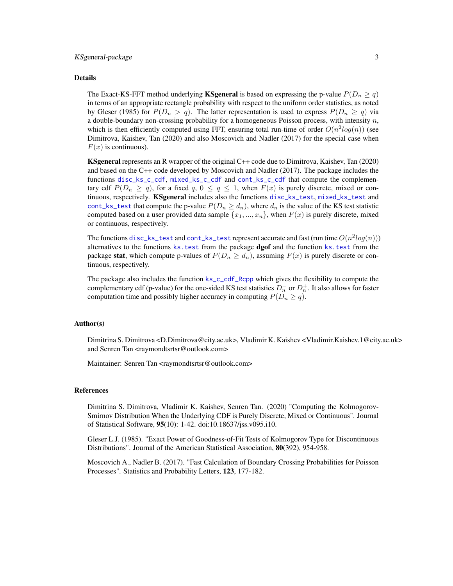# <span id="page-2-0"></span>KSgeneral-package 3

#### Details

The Exact-KS-FFT method underlying **KSgeneral** is based on expressing the p-value  $P(D_n \geq q)$ in terms of an appropriate rectangle probability with respect to the uniform order statistics, as noted by Gleser (1985) for  $P(D_n > q)$ . The latter representation is used to express  $P(D_n \ge q)$  via a double-boundary non-crossing probability for a homogeneous Poisson process, with intensity  $n$ , which is then efficiently computed using FFT, ensuring total run-time of order  $O(n^2 log(n))$  (see Dimitrova, Kaishev, Tan (2020) and also Moscovich and Nadler (2017) for the special case when  $F(x)$  is continuous).

KSgeneral represents an R wrapper of the original C++ code due to Dimitrova, Kaishev, Tan (2020) and based on the C++ code developed by Moscovich and Nadler (2017). The package includes the functions [disc\\_ks\\_c\\_cdf](#page-8-1), [mixed\\_ks\\_c\\_cdf](#page-15-1) and [cont\\_ks\\_c\\_cdf](#page-4-1) that compute the complementary cdf  $P(D_n \ge q)$ , for a fixed q,  $0 \le q \le 1$ , when  $F(x)$  is purely discrete, mixed or continuous, respectively. **KSgeneral** includes also the functions [disc\\_ks\\_test](#page-10-1), [mixed\\_ks\\_test](#page-17-1) and [cont\\_ks\\_test](#page-6-1) that compute the p-value  $P(D_n \geq d_n)$ , where  $d_n$  is the value of the KS test statistic computed based on a user provided data sample  $\{x_1, ..., x_n\}$ , when  $F(x)$  is purely discrete, mixed or continuous, respectively.

The functions [disc\\_ks\\_test](#page-10-1) and [cont\\_ks\\_test](#page-6-1) represent accurate and fast (run time  $O(n^2 log(n)))$ alternatives to the functions ks. test from the package dgof and the function ks. test from the package stat, which compute p-values of  $P(D_n \geq d_n)$ , assuming  $F(x)$  is purely discrete or continuous, respectively.

The package also includes the function [ks\\_c\\_cdf\\_Rcpp](#page-13-1) which gives the flexibility to compute the complementary cdf (p-value) for the one-sided KS test statistics  $D_n^-$  or  $D_n^+$ . It also allows for faster computation time and possibly higher accuracy in computing  $P(D_n \geq q)$ .

#### Author(s)

Dimitrina S. Dimitrova <D.Dimitrova@city.ac.uk>, Vladimir K. Kaishev <Vladimir.Kaishev.1@city.ac.uk> and Senren Tan <raymondtsrtsr@outlook.com>

Maintainer: Senren Tan <raymondtsrtsr@outlook.com>

# References

Dimitrina S. Dimitrova, Vladimir K. Kaishev, Senren Tan. (2020) "Computing the Kolmogorov-Smirnov Distribution When the Underlying CDF is Purely Discrete, Mixed or Continuous". Journal of Statistical Software, 95(10): 1-42. doi:10.18637/jss.v095.i10.

Gleser L.J. (1985). "Exact Power of Goodness-of-Fit Tests of Kolmogorov Type for Discontinuous Distributions". Journal of the American Statistical Association, 80(392), 954-958.

Moscovich A., Nadler B. (2017). "Fast Calculation of Boundary Crossing Probabilities for Poisson Processes". Statistics and Probability Letters, 123, 177-182.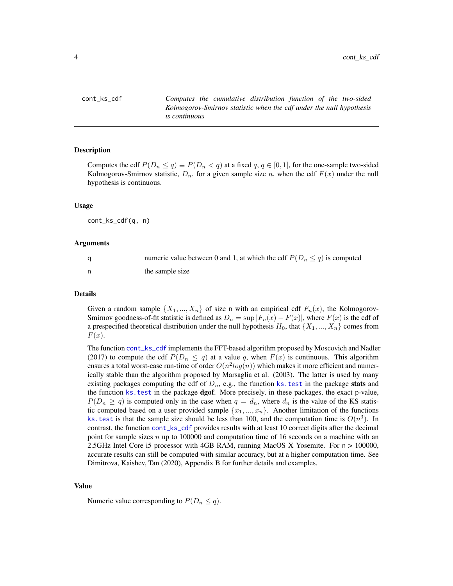<span id="page-3-1"></span><span id="page-3-0"></span>cont\_ks\_cdf *Computes the cumulative distribution function of the two-sided Kolmogorov-Smirnov statistic when the cdf under the null hypothesis is continuous*

#### Description

Computes the cdf  $P(D_n \le q) \equiv P(D_n < q)$  at a fixed  $q, q \in [0, 1]$ , for the one-sample two-sided Kolmogorov-Smirnov statistic,  $D_n$ , for a given sample size n, when the cdf  $F(x)$  under the null hypothesis is continuous.

#### Usage

cont\_ks\_cdf(q, n)

#### Arguments

|    | numeric value between 0 and 1, at which the cdf $P(D_n \leq q)$ is computed |
|----|-----------------------------------------------------------------------------|
| n, | the sample size                                                             |

#### Details

Given a random sample  $\{X_1, ..., X_n\}$  of size n with an empirical cdf  $F_n(x)$ , the Kolmogorov-Smirnov goodness-of-fit statistic is defined as  $D_n = \sup |F_n(x) - F(x)|$ , where  $F(x)$  is the cdf of a prespecified theoretical distribution under the null hypothesis  $H_0$ , that  $\{X_1, ..., X_n\}$  comes from  $F(x)$ .

The function [cont\\_ks\\_cdf](#page-3-1) implements the FFT-based algorithm proposed by Moscovich and Nadler (2017) to compute the cdf  $P(D_n \leq q)$  at a value q, when  $F(x)$  is continuous. This algorithm ensures a total worst-case run-time of order  $O(n^2 log(n))$  which makes it more efficient and numerically stable than the algorithm proposed by Marsaglia et al. (2003). The latter is used by many existing packages computing the cdf of  $D_n$ , e.g., the function ks. test in the package stats and the function ks. test in the package dgof. More precisely, in these packages, the exact p-value,  $P(D_n \geq q)$  is computed only in the case when  $q = d_n$ , where  $d_n$  is the value of the KS statistic computed based on a user provided sample  $\{x_1, ..., x_n\}$ . Another limitation of the functions ks. test is that the sample size should be less than 100, and the computation time is  $O(n^3)$ . In contrast, the function [cont\\_ks\\_cdf](#page-3-1) provides results with at least 10 correct digits after the decimal point for sample sizes  $n \text{ up to } 100000$  and computation time of 16 seconds on a machine with an 2.5GHz Intel Core i5 processor with 4GB RAM, running MacOS X Yosemite. For n > 100000, accurate results can still be computed with similar accuracy, but at a higher computation time. See Dimitrova, Kaishev, Tan (2020), Appendix B for further details and examples.

#### Value

Numeric value corresponding to  $P(D_n \leq q)$ .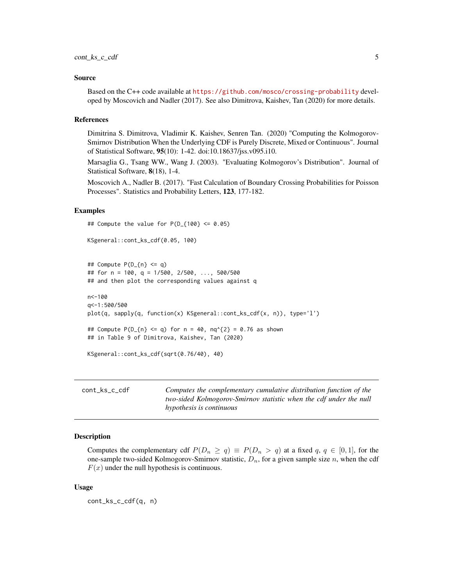#### <span id="page-4-0"></span>Source

Based on the C++ code available at <https://github.com/mosco/crossing-probability> developed by Moscovich and Nadler (2017). See also Dimitrova, Kaishev, Tan (2020) for more details.

# References

Dimitrina S. Dimitrova, Vladimir K. Kaishev, Senren Tan. (2020) "Computing the Kolmogorov-Smirnov Distribution When the Underlying CDF is Purely Discrete, Mixed or Continuous". Journal of Statistical Software, 95(10): 1-42. doi:10.18637/jss.v095.i10.

Marsaglia G., Tsang WW., Wang J. (2003). "Evaluating Kolmogorov's Distribution". Journal of Statistical Software, 8(18), 1-4.

Moscovich A., Nadler B. (2017). "Fast Calculation of Boundary Crossing Probabilities for Poisson Processes". Statistics and Probability Letters, 123, 177-182.

# Examples

```
## Compute the value for P(D_{1100} <= 0.05)
```

```
KSgeneral::cont_ks_cdf(0.05, 100)
```

```
## Compute P(D_{n} = q)## for n = 100, q = 1/500, 2/500, ..., 500/500
## and then plot the corresponding values against q
```

```
n<-100
q<-1:500/500
plot(q, sapply(q, function(x) KSgeneral::cont_ks_cdf(x, n)), type='l')
## Compute P(D_{n} \leq q) for n = 40, nq^{(2)} = 0.76 as shown
## in Table 9 of Dimitrova, Kaishev, Tan (2020)
```

```
KSgeneral::cont_ks_cdf(sqrt(0.76/40), 40)
```
<span id="page-4-1"></span>

| cont ks c cdf | Computes the complementary cumulative distribution function of the |
|---------------|--------------------------------------------------------------------|
|               | two-sided Kolmogorov-Smirnov statistic when the cdf under the null |
|               | hypothesis is continuous                                           |

#### Description

Computes the complementary cdf  $P(D_n \ge q) \equiv P(D_n > q)$  at a fixed q,  $q \in [0, 1]$ , for the one-sample two-sided Kolmogorov-Smirnov statistic,  $D_n$ , for a given sample size n, when the cdf  $F(x)$  under the null hypothesis is continuous.

# Usage

cont\_ks\_c\_cdf(q, n)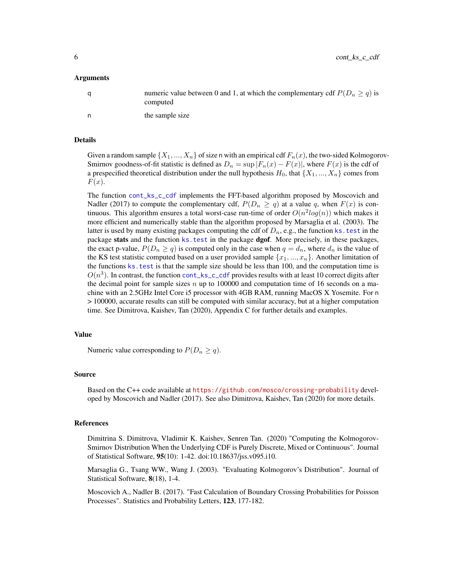<span id="page-5-0"></span>6 cont\_ks\_c\_cdf

#### Arguments

| a | numeric value between 0 and 1, at which the complementary cdf $P(D_n \geq q)$ is<br>computed |
|---|----------------------------------------------------------------------------------------------|
| n | the sample size                                                                              |

# Details

Given a random sample  $\{X_1, ..., X_n\}$  of size n with an empirical cdf  $F_n(x)$ , the two-sided Kolmogorov-Smirnov goodness-of-fit statistic is defined as  $D_n = \sup |F_n(x) - F(x)|$ , where  $F(x)$  is the cdf of a prespecified theoretical distribution under the null hypothesis  $H_0$ , that  $\{X_1, ..., X_n\}$  comes from  $F(x)$ .

The function [cont\\_ks\\_c\\_cdf](#page-4-1) implements the FFT-based algorithm proposed by Moscovich and Nadler (2017) to compute the complementary cdf,  $P(D_n \ge q)$  at a value q, when  $F(x)$  is continuous. This algorithm ensures a total worst-case run-time of order  $O(n^2 \log(n))$  which makes it more efficient and numerically stable than the algorithm proposed by Marsaglia et al. (2003). The latter is used by many existing packages computing the cdf of  $D_n$ , e.g., the function ks. test in the package stats and the function ks. test in the package dgof. More precisely, in these packages, the exact p-value,  $P(D_n \geq q)$  is computed only in the case when  $q = d_n$ , where  $d_n$  is the value of the KS test statistic computed based on a user provided sample  $\{x_1, ..., x_n\}$ . Another limitation of the functions [ks.test](#page-0-0) is that the sample size should be less than 100, and the computation time is  $O(n^3)$ . In contrast, the function [cont\\_ks\\_c\\_cdf](#page-4-1) provides results with at least 10 correct digits after the decimal point for sample sizes  $n$  up to 100000 and computation time of 16 seconds on a machine with an 2.5GHz Intel Core i5 processor with 4GB RAM, running MacOS X Yosemite. For n > 100000, accurate results can still be computed with similar accuracy, but at a higher computation time. See Dimitrova, Kaishev, Tan (2020), Appendix C for further details and examples.

# Value

Numeric value corresponding to  $P(D_n \geq q)$ .

#### Source

Based on the C++ code available at <https://github.com/mosco/crossing-probability> developed by Moscovich and Nadler (2017). See also Dimitrova, Kaishev, Tan (2020) for more details.

# References

Dimitrina S. Dimitrova, Vladimir K. Kaishev, Senren Tan. (2020) "Computing the Kolmogorov-Smirnov Distribution When the Underlying CDF is Purely Discrete, Mixed or Continuous". Journal of Statistical Software, 95(10): 1-42. doi:10.18637/jss.v095.i10.

Marsaglia G., Tsang WW., Wang J. (2003). "Evaluating Kolmogorov's Distribution". Journal of Statistical Software, 8(18), 1-4.

Moscovich A., Nadler B. (2017). "Fast Calculation of Boundary Crossing Probabilities for Poisson Processes". Statistics and Probability Letters, 123, 177-182.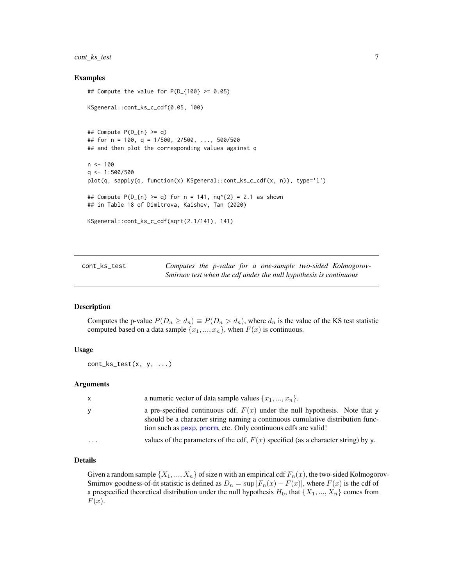# <span id="page-6-0"></span>cont\_ks\_test 7

# Examples

```
## Compute the value for P(D_{1100} > = 0.05)KSgeneral::cont_ks_c_cdf(0.05, 100)
## Compute P(D_{n}) \geq q## for n = 100, q = 1/500, 2/500, ..., 500/500
## and then plot the corresponding values against q
n < -100q \leq -1:500/500plot(q, sapply(q, function(x) KSgeneral::cont_ks_c_cdf(x, n)), type='l')
## Compute P(D_{n}) \geq q for n = 141, nq^{2} = 2.1 as shown
## in Table 18 of Dimitrova, Kaishev, Tan (2020)
KSgeneral::cont_ks_c_cdf(sqrt(2.1/141), 141)
```
<span id="page-6-1"></span>cont\_ks\_test *Computes the p-value for a one-sample two-sided Kolmogorov-Smirnov test when the cdf under the null hypothesis is continuous*

#### Description

Computes the p-value  $P(D_n \geq d_n) \equiv P(D_n > d_n)$ , where  $d_n$  is the value of the KS test statistic computed based on a data sample  $\{x_1, ..., x_n\}$ , when  $F(x)$  is continuous.

# Usage

cont\_ks\_test(x, y, ...)

#### Arguments

| X         | a numeric vector of data sample values $\{x_1, , x_n\}$ .                                                                                                                                                                         |
|-----------|-----------------------------------------------------------------------------------------------------------------------------------------------------------------------------------------------------------------------------------|
| У         | a pre-specified continuous cdf, $F(x)$ under the null hypothesis. Note that y<br>should be a character string naming a continuous cumulative distribution func-<br>tion such as pexp, pnorm, etc. Only continuous cdfs are valid! |
| $\ddotsc$ | values of the parameters of the cdf, $F(x)$ specified (as a character string) by y.                                                                                                                                               |

# Details

Given a random sample  $\{X_1, ..., X_n\}$  of size n with an empirical cdf  $F_n(x)$ , the two-sided Kolmogorov-Smirnov goodness-of-fit statistic is defined as  $D_n = \sup |F_n(x) - F(x)|$ , where  $F(x)$  is the cdf of a prespecified theoretical distribution under the null hypothesis  $H_0$ , that  $\{X_1, ..., X_n\}$  comes from  $F(x)$ .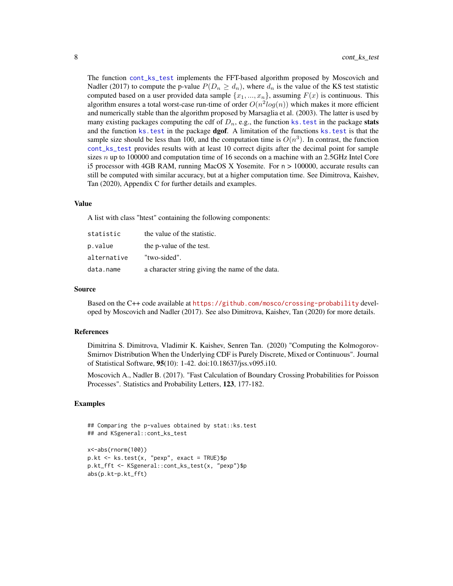<span id="page-7-0"></span>The function [cont\\_ks\\_test](#page-6-1) implements the FFT-based algorithm proposed by Moscovich and Nadler (2017) to compute the p-value  $P(D_n \geq d_n)$ , where  $d_n$  is the value of the KS test statistic computed based on a user provided data sample  $\{x_1, ..., x_n\}$ , assuming  $F(x)$  is continuous. This algorithm ensures a total worst-case run-time of order  $O(n^2 log(n))$  which makes it more efficient and numerically stable than the algorithm proposed by Marsaglia et al. (2003). The latter is used by many existing packages computing the cdf of  $D_n$ , e.g., the function ks. test in the package stats and the function ks. test in the package dgof. A limitation of the functions ks. test is that the sample size should be less than 100, and the computation time is  $O(n^3)$ . In contrast, the function [cont\\_ks\\_test](#page-6-1) provides results with at least 10 correct digits after the decimal point for sample sizes  $n$  up to 100000 and computation time of 16 seconds on a machine with an 2.5GHz Intel Core i5 processor with 4GB RAM, running MacOS X Yosemite. For n > 100000, accurate results can still be computed with similar accuracy, but at a higher computation time. See Dimitrova, Kaishev, Tan (2020), Appendix C for further details and examples.

#### Value

A list with class "htest" containing the following components:

| statistic   | the value of the statistic.                     |
|-------------|-------------------------------------------------|
| p.value     | the p-value of the test.                        |
| alternative | "two-sided".                                    |
| data.name   | a character string giving the name of the data. |

#### Source

Based on the C++ code available at <https://github.com/mosco/crossing-probability> developed by Moscovich and Nadler (2017). See also Dimitrova, Kaishev, Tan (2020) for more details.

#### References

Dimitrina S. Dimitrova, Vladimir K. Kaishev, Senren Tan. (2020) "Computing the Kolmogorov-Smirnov Distribution When the Underlying CDF is Purely Discrete, Mixed or Continuous". Journal of Statistical Software, 95(10): 1-42. doi:10.18637/jss.v095.i10.

Moscovich A., Nadler B. (2017). "Fast Calculation of Boundary Crossing Probabilities for Poisson Processes". Statistics and Probability Letters, 123, 177-182.

#### Examples

```
## Comparing the p-values obtained by stat::ks.test
## and KSgeneral::cont_ks_test
```

```
x<-abs(rnorm(100))
p.kt <- ks.test(x, "pexp", exact = TRUE)$p
p.kt_fft <- KSgeneral::cont_ks_test(x, "pexp")$p
abs(p.kt-p.kt_fft)
```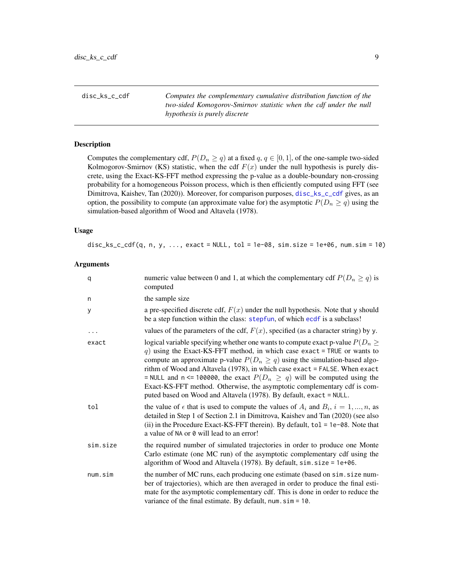<span id="page-8-1"></span><span id="page-8-0"></span>disc\_ks\_c\_cdf *Computes the complementary cumulative distribution function of the two-sided Komogorov-Smirnov statistic when the cdf under the null hypothesis is purely discrete*

# Description

Computes the complementary cdf,  $P(D_n \geq q)$  at a fixed  $q, q \in [0, 1]$ , of the one-sample two-sided Kolmogorov-Smirnov (KS) statistic, when the cdf  $F(x)$  under the null hypothesis is purely discrete, using the Exact-KS-FFT method expressing the p-value as a double-boundary non-crossing probability for a homogeneous Poisson process, which is then efficiently computed using FFT (see Dimitrova, Kaishev, Tan (2020)). Moreover, for comparison purposes, [disc\\_ks\\_c\\_cdf](#page-8-1) gives, as an option, the possibility to compute (an approximate value for) the asymptotic  $P(D_n \geq q)$  using the simulation-based algorithm of Wood and Altavela (1978).

#### Usage

disc\_ks\_c\_cdf(q, n, y,  $\dots$ , exact = NULL, tol = 1e-08, sim.size = 1e+06, num.sim = 10)

# Arguments

| q        | numeric value between 0 and 1, at which the complementary cdf $P(D_n \geq q)$ is<br>computed                                                                                                                                                                                                                                                                                                                                                                                                                                                                      |
|----------|-------------------------------------------------------------------------------------------------------------------------------------------------------------------------------------------------------------------------------------------------------------------------------------------------------------------------------------------------------------------------------------------------------------------------------------------------------------------------------------------------------------------------------------------------------------------|
| n        | the sample size                                                                                                                                                                                                                                                                                                                                                                                                                                                                                                                                                   |
| У        | a pre-specified discrete cdf, $F(x)$ under the null hypothesis. Note that y should<br>be a step function within the class: stepfun, of which ecdf is a subclass!                                                                                                                                                                                                                                                                                                                                                                                                  |
|          | values of the parameters of the cdf, $F(x)$ , specified (as a character string) by y.                                                                                                                                                                                                                                                                                                                                                                                                                                                                             |
| exact    | logical variable specifying whether one wants to compute exact p-value $P(D_n \geq$<br>q) using the Exact-KS-FFT method, in which case exact = TRUE or wants to<br>compute an approximate p-value $P(D_n \geq q)$ using the simulation-based algo-<br>rithm of Wood and Altavela (1978), in which case exact = FALSE. When exact<br>= NULL and n <= 100000, the exact $P(D_n \ge q)$ will be computed using the<br>Exact-KS-FFT method. Otherwise, the asymptotic complementary cdf is com-<br>puted based on Wood and Altavela (1978). By default, exact = NULL. |
| tol      | the value of $\epsilon$ that is used to compute the values of $A_i$ and $B_i$ , $i = 1, , n$ , as<br>detailed in Step 1 of Section 2.1 in Dimitrova, Kaishev and Tan (2020) (see also<br>(ii) in the Procedure Exact-KS-FFT therein). By default, $tol = 1e-08$ . Note that<br>a value of NA or 0 will lead to an error!                                                                                                                                                                                                                                          |
| sim.size | the required number of simulated trajectories in order to produce one Monte<br>Carlo estimate (one MC run) of the asymptotic complementary cdf using the<br>algorithm of Wood and Altavela (1978). By default, sim. size = 1e+06.                                                                                                                                                                                                                                                                                                                                 |
| num.sim  | the number of MC runs, each producing one estimate (based on sim. size num-<br>ber of trajectories), which are then averaged in order to produce the final esti-<br>mate for the asymptotic complementary cdf. This is done in order to reduce the<br>variance of the final estimate. By default, $num \cdot \text{sim} = 10$ .                                                                                                                                                                                                                                   |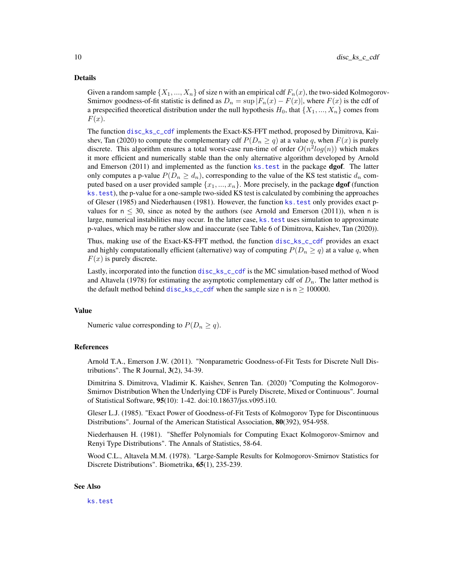#### <span id="page-9-0"></span>Details

Given a random sample  $\{X_1, ..., X_n\}$  of size n with an empirical cdf  $F_n(x)$ , the two-sided Kolmogorov-Smirnov goodness-of-fit statistic is defined as  $D_n = \sup |F_n(x) - F(x)|$ , where  $F(x)$  is the cdf of a prespecified theoretical distribution under the null hypothesis  $H_0$ , that  $\{X_1, ..., X_n\}$  comes from  $F(x)$ .

The function [disc\\_ks\\_c\\_cdf](#page-8-1) implements the Exact-KS-FFT method, proposed by Dimitrova, Kaishev, Tan (2020) to compute the complementary cdf  $P(D_n \geq q)$  at a value q, when  $F(x)$  is purely discrete. This algorithm ensures a total worst-case run-time of order  $O(n^2 log(n))$  which makes it more efficient and numerically stable than the only alternative algorithm developed by Arnold and Emerson (2011) and implemented as the function ks. test in the package dgof. The latter only computes a p-value  $P(D_n \geq d_n)$ , corresponding to the value of the KS test statistic  $d_n$  computed based on a user provided sample  $\{x_1, ..., x_n\}$ . More precisely, in the package **dgof** (function [ks.test](#page-0-0)), the p-value for a one-sample two-sided KS test is calculated by combining the approaches of Gleser (1985) and Niederhausen (1981). However, the function [ks.test](#page-0-0) only provides exact pvalues for  $n \leq 30$ , since as noted by the authors (see Arnold and Emerson (2011)), when n is large, numerical instabilities may occur. In the latter case, ks. test uses simulation to approximate p-values, which may be rather slow and inaccurate (see Table 6 of Dimitrova, Kaishev, Tan (2020)).

Thus, making use of the Exact-KS-FFT method, the function [disc\\_ks\\_c\\_cdf](#page-8-1) provides an exact and highly computationally efficient (alternative) way of computing  $P(D_n \geq q)$  at a value q, when  $F(x)$  is purely discrete.

Lastly, incorporated into the function [disc\\_ks\\_c\\_cdf](#page-8-1) is the MC simulation-based method of Wood and Altavela (1978) for estimating the asymptotic complementary cdf of  $D_n$ . The latter method is the default method behind [disc\\_ks\\_c\\_cdf](#page-8-1) when the sample size n is  $n \ge 100000$ .

#### Value

Numeric value corresponding to  $P(D_n \geq q)$ .

#### References

Arnold T.A., Emerson J.W. (2011). "Nonparametric Goodness-of-Fit Tests for Discrete Null Distributions". The R Journal,  $3(2)$ , 34-39.

Dimitrina S. Dimitrova, Vladimir K. Kaishev, Senren Tan. (2020) "Computing the Kolmogorov-Smirnov Distribution When the Underlying CDF is Purely Discrete, Mixed or Continuous". Journal of Statistical Software, 95(10): 1-42. doi:10.18637/jss.v095.i10.

Gleser L.J. (1985). "Exact Power of Goodness-of-Fit Tests of Kolmogorov Type for Discontinuous Distributions". Journal of the American Statistical Association, 80(392), 954-958.

Niederhausen H. (1981). "Sheffer Polynomials for Computing Exact Kolmogorov-Smirnov and Renyi Type Distributions". The Annals of Statistics, 58-64.

Wood C.L., Altavela M.M. (1978). "Large-Sample Results for Kolmogorov-Smirnov Statistics for Discrete Distributions". Biometrika, 65(1), 235-239.

# See Also

[ks.test](#page-0-0)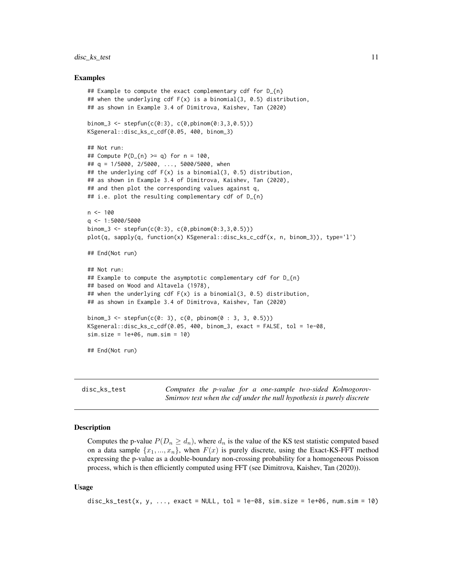# <span id="page-10-0"></span>disc\_ks\_test 11

#### Examples

```
## Example to compute the exact complementary cdf for D_{n}
## when the underlying cdf F(x) is a binomial(3, 0.5) distribution,
## as shown in Example 3.4 of Dimitrova, Kaishev, Tan (2020)
binom_3 <- stepfun(c(0:3), c(0,pbinom(0:3,3,0.5)))
KSgeneral::disc_ks_c_cdf(0.05, 400, binom_3)
## Not run:
## Compute P(D_{n}^{n}) \geq q for n = 100,
## q = 1/5000, 2/5000, ..., 5000/5000, when
## the underlying cdf F(x) is a binomial(3, 0.5) distribution,
## as shown in Example 3.4 of Dimitrova, Kaishev, Tan (2020),
## and then plot the corresponding values against q,
## i.e. plot the resulting complementary cdf of D_{n}n <- 100
q <- 1:5000/5000
binom_3 <- stepfun(c(0:3), c(0,pbinom(0:3,3,0.5)))
plot(q, sapply(q, function(x) KSgeneral::disc_ks_c_cdf(x, n, binom_3)), type='l')
## End(Not run)
## Not run:
## Example to compute the asymptotic complementary cdf for D_{n}
## based on Wood and Altavela (1978),
## when the underlying cdf F(x) is a binomial(3, 0.5) distribution,
## as shown in Example 3.4 of Dimitrova, Kaishev, Tan (2020)
binom_3 <- stepfun(c(0: 3), c(0, pbinom(0 : 3, 3, 0.5)))
KSgeneral::disc_ks_c_cdf(0.05, 400, binom_3, exact = FALSE, tol = 1e-08,
sim.size = 1e+06, num.size = 10## End(Not run)
```
<span id="page-10-1"></span>disc\_ks\_test *Computes the p-value for a one-sample two-sided Kolmogorov-Smirnov test when the cdf under the null hypothesis is purely discrete*

# Description

Computes the p-value  $P(D_n \geq d_n)$ , where  $d_n$  is the value of the KS test statistic computed based on a data sample  $\{x_1, ..., x_n\}$ , when  $F(x)$  is purely discrete, using the Exact-KS-FFT method expressing the p-value as a double-boundary non-crossing probability for a homogeneous Poisson process, which is then efficiently computed using FFT (see Dimitrova, Kaishev, Tan (2020)).

# Usage

```
disc_ks_test(x, y, ..., exact = NULL, tol = 1e-08, sim.size = 1e+06, num.sim = 10)
```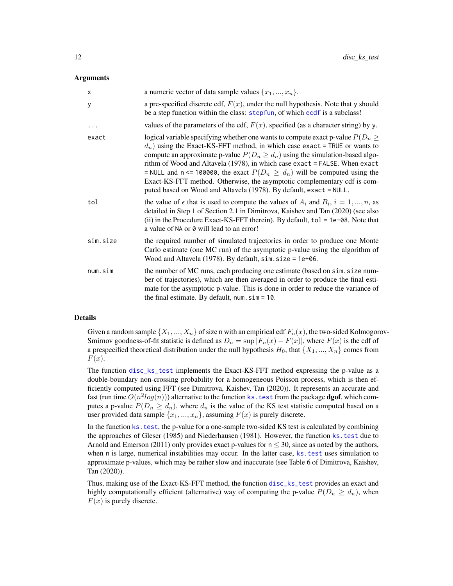#### <span id="page-11-0"></span>Arguments

| X        | a numeric vector of data sample values $\{x_1, , x_n\}$ .                                                                                                                                                                                                                                                                                                                                                                                                                                                                                                                  |
|----------|----------------------------------------------------------------------------------------------------------------------------------------------------------------------------------------------------------------------------------------------------------------------------------------------------------------------------------------------------------------------------------------------------------------------------------------------------------------------------------------------------------------------------------------------------------------------------|
| У        | a pre-specified discrete cdf, $F(x)$ , under the null hypothesis. Note that y should<br>be a step function within the class: stepfun, of which ecdf is a subclass!                                                                                                                                                                                                                                                                                                                                                                                                         |
| $\cdots$ | values of the parameters of the cdf, $F(x)$ , specified (as a character string) by y.                                                                                                                                                                                                                                                                                                                                                                                                                                                                                      |
| exact    | logical variable specifying whether one wants to compute exact p-value $P(D_n \geq$<br>$d_n$ ) using the Exact-KS-FFT method, in which case exact = TRUE or wants to<br>compute an approximate p-value $P(D_n \geq d_n)$ using the simulation-based algo-<br>rithm of Wood and Altavela (1978), in which case exact = FALSE. When exact<br>= NULL and n <= 100000, the exact $P(D_n \ge d_n)$ will be computed using the<br>Exact-KS-FFT method. Otherwise, the asymptotic complementary cdf is com-<br>puted based on Wood and Altavela (1978). By default, exact = NULL. |
| tol      | the value of $\epsilon$ that is used to compute the values of $A_i$ and $B_i$ , $i = 1, , n$ , as<br>detailed in Step 1 of Section 2.1 in Dimitrova, Kaishev and Tan (2020) (see also<br>(ii) in the Procedure Exact-KS-FFT therein). By default, $tol = 1e-08$ . Note that<br>a value of NA or 0 will lead to an error!                                                                                                                                                                                                                                                   |
| sim.size | the required number of simulated trajectories in order to produce one Monte<br>Carlo estimate (one MC run) of the asymptotic p-value using the algorithm of<br>Wood and Altavela (1978). By default, $sim.size = 1e+06$ .                                                                                                                                                                                                                                                                                                                                                  |
| num,sim  | the number of MC runs, each producing one estimate (based on sim. size num-<br>ber of trajectories), which are then averaged in order to produce the final esti-<br>mate for the asymptotic p-value. This is done in order to reduce the variance of<br>the final estimate. By default, $num \cdot \sin = 10$ .                                                                                                                                                                                                                                                            |

# Details

Given a random sample  $\{X_1, ..., X_n\}$  of size n with an empirical cdf  $F_n(x)$ , the two-sided Kolmogorov-Smirnov goodness-of-fit statistic is defined as  $D_n = \sup |F_n(x) - F(x)|$ , where  $F(x)$  is the cdf of a prespecified theoretical distribution under the null hypothesis  $H_0$ , that  $\{X_1, ..., X_n\}$  comes from  $F(x)$ .

The function [disc\\_ks\\_test](#page-10-1) implements the Exact-KS-FFT method expressing the p-value as a double-boundary non-crossing probability for a homogeneous Poisson process, which is then efficiently computed using FFT (see Dimitrova, Kaishev, Tan (2020)). It represents an accurate and fast (run time  $O(n^2 log(n))$ ) alternative to the function ks . test from the package **dgof**, which computes a p-value  $P(D_n \geq d_n)$ , where  $d_n$  is the value of the KS test statistic computed based on a user provided data sample  $\{x_1, ..., x_n\}$ , assuming  $F(x)$  is purely discrete.

In the function ks. test, the p-value for a one-sample two-sided KS test is calculated by combining the approaches of Gleser (1985) and Niederhausen (1981). However, the function [ks.test](#page-0-0) due to Arnold and Emerson (2011) only provides exact p-values for  $n \leq 30$ , since as noted by the authors, when n is large, numerical instabilities may occur. In the latter case, ks. test uses simulation to approximate p-values, which may be rather slow and inaccurate (see Table 6 of Dimitrova, Kaishev, Tan (2020)).

Thus, making use of the Exact-KS-FFT method, the function [disc\\_ks\\_test](#page-10-1) provides an exact and highly computationally efficient (alternative) way of computing the p-value  $P(D_n \geq d_n)$ , when  $F(x)$  is purely discrete.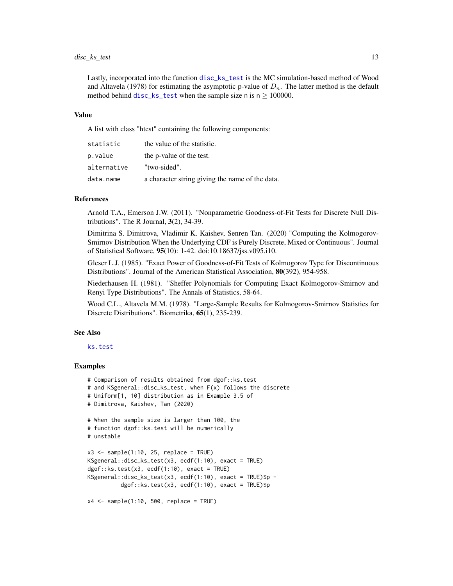# <span id="page-12-0"></span>disc\_ks\_test 13

Lastly, incorporated into the function [disc\\_ks\\_test](#page-10-1) is the MC simulation-based method of Wood and Altavela (1978) for estimating the asymptotic p-value of  $D_n$ . The latter method is the default method behind [disc\\_ks\\_test](#page-10-1) when the sample size n is  $n > 100000$ .

#### Value

A list with class "htest" containing the following components:

| statistic   | the value of the statistic.                     |
|-------------|-------------------------------------------------|
| p.value     | the p-value of the test.                        |
| alternative | "two-sided".                                    |
| data.name   | a character string giving the name of the data. |

# References

Arnold T.A., Emerson J.W. (2011). "Nonparametric Goodness-of-Fit Tests for Discrete Null Distributions". The R Journal,  $3(2)$ , 34-39.

Dimitrina S. Dimitrova, Vladimir K. Kaishev, Senren Tan. (2020) "Computing the Kolmogorov-Smirnov Distribution When the Underlying CDF is Purely Discrete, Mixed or Continuous". Journal of Statistical Software, 95(10): 1-42. doi:10.18637/jss.v095.i10.

Gleser L.J. (1985). "Exact Power of Goodness-of-Fit Tests of Kolmogorov Type for Discontinuous Distributions". Journal of the American Statistical Association, 80(392), 954-958.

Niederhausen H. (1981). "Sheffer Polynomials for Computing Exact Kolmogorov-Smirnov and Renyi Type Distributions". The Annals of Statistics, 58-64.

Wood C.L., Altavela M.M. (1978). "Large-Sample Results for Kolmogorov-Smirnov Statistics for Discrete Distributions". Biometrika, 65(1), 235-239.

# See Also

#### [ks.test](#page-0-0)

# Examples

```
# Comparison of results obtained from dgof::ks.test
# and KSgeneral::disc_ks_test, when F(x) follows the discrete
# Uniform[1, 10] distribution as in Example 3.5 of
# Dimitrova, Kaishev, Tan (2020)
# When the sample size is larger than 100, the
# function dgof::ks.test will be numerically
# unstable
x3 \leq - sample(1:10, 25, replace = TRUE)
KSgeneral::disc_ks_test(x3, ecdf(1:10), exact = TRUE)
dgof::ks.test(x3, ecdf(1:10), exact = TRUE)KSgeneral::disc_ks_test(x3, ecdf(1:10), exact = TRUE)$p -
          dgof::ks.test(x3, ecdf(1:10), exact = TRUE)\x4 \leq - sample(1:10, 500, replace = TRUE)
```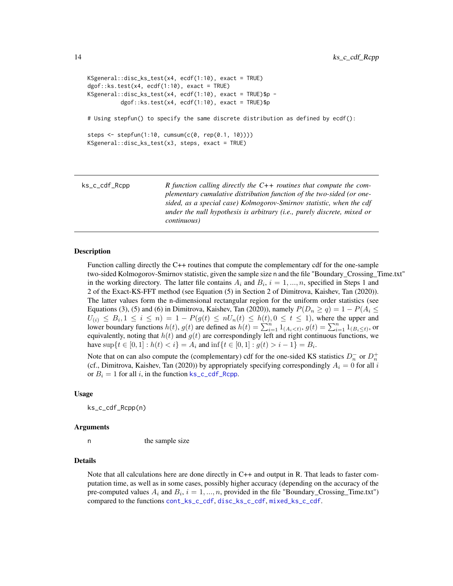```
KSgeneral::disc_ks_test(x4, ecdf(1:10), exact = TRUE)
dgof::ks.test(x4, ecdf(1:10), exact = TRUE)
KSgeneral::disc_ks_test(x4, ecdf(1:10), exact = TRUE)$p -
          dgof::ks.test(x4, ecdf(1:10), exact = TRUE)$p
# Using stepfun() to specify the same discrete distribution as defined by ecdf():
steps <- stepfun(1:10, cumsum(c(0, rep(0.1, 10))))
KSgeneral::disc_ks_test(x3, steps, exact = TRUE)
```
<span id="page-13-1"></span>

| R function calling directly the $C++$ routines that compute the com-    |
|-------------------------------------------------------------------------|
| plementary cumulative distribution function of the two-sided (or one-   |
| sided, as a special case) Kolmogorov-Smirnov statistic, when the cdf    |
| under the null hypothesis is arbitrary (i.e., purely discrete, mixed or |
| <i>continuous</i> )                                                     |
|                                                                         |

# Description

Function calling directly the C++ routines that compute the complementary cdf for the one-sample two-sided Kolmogorov-Smirnov statistic, given the sample size n and the file "Boundary\_Crossing\_Time.txt" in the working directory. The latter file contains  $A_i$  and  $B_i$ ,  $i = 1, ..., n$ , specified in Steps 1 and 2 of the Exact-KS-FFT method (see Equation (5) in Section 2 of Dimitrova, Kaishev, Tan (2020)). The latter values form the n-dimensional rectangular region for the uniform order statistics (see Equations (3), (5) and (6) in Dimitrova, Kaishev, Tan (2020)), namely  $P(D_n \ge q) = 1 - P(A_i \le$  $U_{(i)} \leq B_i, 1 \leq i \leq n$   $= 1 - P(g(t) \leq nU_n(t) \leq h(t), 0 \leq t \leq 1)$ , where the upper and lower boundary functions  $h(t)$ ,  $g(t)$  are defined as  $h(t) = \sum_{i=1}^{n} 1_{(A_i < t)}, g(t) = \sum_{i=1}^{n} 1_{(B_i \le t)}$ , or equivalently, noting that  $h(t)$  and  $g(t)$  are correspondingly left and right continuous functions, we have  $\sup\{t \in [0,1]: h(t) < i\} = A_i$  and  $\inf\{t \in [0,1]: g(t) > i-1\} = B_i$ .

Note that on can also compute the (complementary) cdf for the one-sided KS statistics  $D_n^-$  or  $D_n^+$ (cf., Dimitrova, Kaishev, Tan (2020)) by appropriately specifying correspondingly  $A_i = 0$  for all i or  $B_i = 1$  for all i, in the function  $\text{ks\_c\_cdf\_Rcpp}$ .

#### Usage

ks\_c\_cdf\_Rcpp(n)

#### Arguments

n the sample size

#### Details

Note that all calculations here are done directly in  $C_{++}$  and output in R. That leads to faster computation time, as well as in some cases, possibly higher accuracy (depending on the accuracy of the pre-computed values  $A_i$  and  $B_i$ ,  $i = 1, ..., n$ , provided in the file "Boundary\_Crossing\_Time.txt") compared to the functions [cont\\_ks\\_c\\_cdf](#page-4-1), [disc\\_ks\\_c\\_cdf](#page-8-1), [mixed\\_ks\\_c\\_cdf](#page-15-1).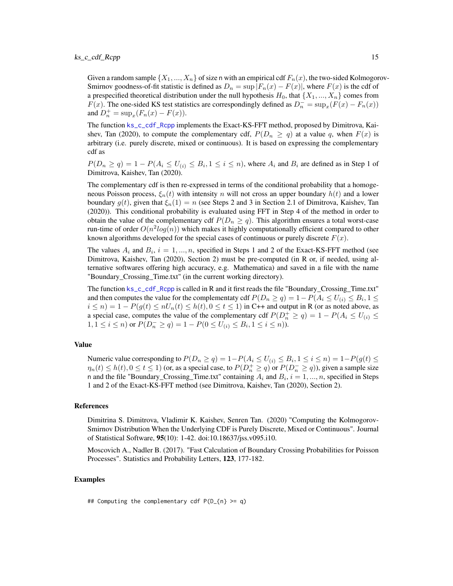<span id="page-14-0"></span>Given a random sample  $\{X_1, ..., X_n\}$  of size n with an empirical cdf  $F_n(x)$ , the two-sided Kolmogorov-Smirnov goodness-of-fit statistic is defined as  $D_n = \sup |F_n(x) - F(x)|$ , where  $F(x)$  is the cdf of a prespecified theoretical distribution under the null hypothesis  $H_0$ , that  $\{X_1, ..., X_n\}$  comes from  $F(x)$ . The one-sided KS test statistics are correspondingly defined as  $D_n^- = \sup_x (F(x) - F_n(x))$ and  $D_n^+ = \sup_x (F_n(x) - F(x)).$ 

The function [ks\\_c\\_cdf\\_Rcpp](#page-13-1) implements the Exact-KS-FFT method, proposed by Dimitrova, Kaishev, Tan (2020), to compute the complementary cdf,  $P(D_n \ge q)$  at a value q, when  $F(x)$  is arbitrary (i.e. purely discrete, mixed or continuous). It is based on expressing the complementary cdf as

 $P(D_n \geq q) = 1 - P(A_i \leq U_{(i)} \leq B_i, 1 \leq i \leq n)$ , where  $A_i$  and  $B_i$  are defined as in Step 1 of Dimitrova, Kaishev, Tan (2020).

The complementary cdf is then re-expressed in terms of the conditional probability that a homogeneous Poisson process,  $\xi_n(t)$  with intensity n will not cross an upper boundary  $h(t)$  and a lower boundary  $g(t)$ , given that  $\xi_n(1) = n$  (see Steps 2 and 3 in Section 2.1 of Dimitrova, Kaishev, Tan (2020)). This conditional probability is evaluated using FFT in Step 4 of the method in order to obtain the value of the complementary cdf  $P(D_n \geq q)$ . This algorithm ensures a total worst-case run-time of order  $O(n^2 \log(n))$  which makes it highly computationally efficient compared to other known algorithms developed for the special cases of continuous or purely discrete  $F(x)$ .

The values  $A_i$  and  $B_i$ ,  $i = 1, ..., n$ , specified in Steps 1 and 2 of the Exact-KS-FFT method (see Dimitrova, Kaishev, Tan (2020), Section 2) must be pre-computed (in R or, if needed, using alternative softwares offering high accuracy, e.g. Mathematica) and saved in a file with the name "Boundary\_Crossing\_Time.txt" (in the current working directory).

The function [ks\\_c\\_cdf\\_Rcpp](#page-13-1) is called in R and it first reads the file "Boundary\_Crossing\_Time.txt" and then computes the value for the complementaty cdf  $P(D_n \geq q) = 1 - P(A_i \leq U_{(i)} \leq B_i, 1 \leq j \leq n)$  $i \le n$ ) = 1 –  $P(g(t) \le nU_n(t) \le h(t), 0 \le t \le 1)$  in C++ and output in R (or as noted above, as a special case, computes the value of the complementary cdf  $P(D_n^+ \ge q) = 1 - P(A_i \le U_{(i)} \le n)$  $1, 1 \leq i \leq n$ ) or  $P(D_n^- \geq q) = 1 - P(0 \leq U_{(i)} \leq B_i, 1 \leq i \leq n)$ ).

# Value

Numeric value corresponding to  $P(D_n \geq q) = 1 - P(A_i \leq U_{(i)} \leq B_i, 1 \leq i \leq n) = 1 - P(g(t) \leq n)$  $\eta_n(t) \le h(t), 0 \le t \le 1$ ) (or, as a special case, to  $P(D_n^+ \ge q)$  or  $P(D_n^- \ge q)$ ), given a sample size n and the file "Boundary\_Crossing\_Time.txt" containing  $A_i$  and  $B_i$ ,  $i = 1, ..., n$ , specified in Steps 1 and 2 of the Exact-KS-FFT method (see Dimitrova, Kaishev, Tan (2020), Section 2).

# References

Dimitrina S. Dimitrova, Vladimir K. Kaishev, Senren Tan. (2020) "Computing the Kolmogorov-Smirnov Distribution When the Underlying CDF is Purely Discrete, Mixed or Continuous". Journal of Statistical Software, 95(10): 1-42. doi:10.18637/jss.v095.i10.

Moscovich A., Nadler B. (2017). "Fast Calculation of Boundary Crossing Probabilities for Poisson Processes". Statistics and Probability Letters, 123, 177-182.

# Examples

## Computing the complementary cdf  $P(D_{n}) \geq q$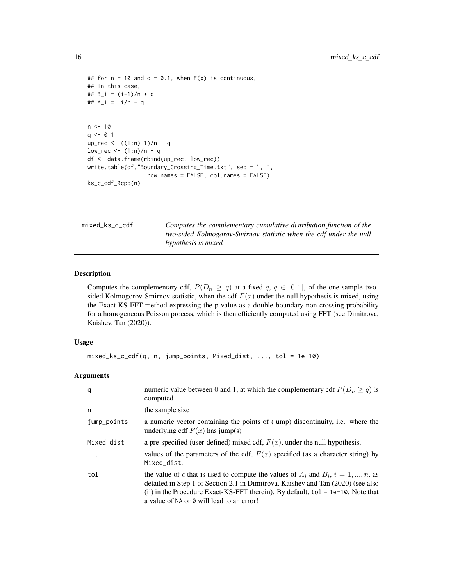```
## for n = 10 and q = 0.1, when F(x) is continuous,
## In this case,
## B_i = (i-1)/n + q
## A_i = i/n - q
n < -10q \le -0.1up_rec <- ((1:n)-1)/n + qlow\_rec \leq (1:n)/n - qdf <- data.frame(rbind(up_rec, low_rec))
write.table(df,"Boundary_Crossing_Time.txt", sep = ", ",
                  row.names = FALSE, col.names = FALSE)
ks_c_cdf_Rcpp(n)
```
<span id="page-15-1"></span>mixed\_ks\_c\_cdf *Computes the complementary cumulative distribution function of the two-sided Kolmogorov-Smirnov statistic when the cdf under the null hypothesis is mixed*

#### Description

Computes the complementary cdf,  $P(D_n \ge q)$  at a fixed  $q, q \in [0, 1]$ , of the one-sample twosided Kolmogorov-Smirnov statistic, when the cdf  $F(x)$  under the null hypothesis is mixed, using the Exact-KS-FFT method expressing the p-value as a double-boundary non-crossing probability for a homogeneous Poisson process, which is then efficiently computed using FFT (see Dimitrova, Kaishev, Tan (2020)).

# Usage

```
mixed_ks_c_cdf(q, n, jump_points, Mixed_dist, ..., tol = 1e-10)
```
# Arguments

| q           | numeric value between 0 and 1, at which the complementary cdf $P(D_n \geq q)$ is<br>computed                                                                                                                                                                                                                             |
|-------------|--------------------------------------------------------------------------------------------------------------------------------------------------------------------------------------------------------------------------------------------------------------------------------------------------------------------------|
| n           | the sample size                                                                                                                                                                                                                                                                                                          |
| jump_points | a numeric vector containing the points of (jump) discontinuity, i.e. where the<br>underlying cdf $F(x)$ has jump(s)                                                                                                                                                                                                      |
| Mixed_dist  | a pre-specified (user-defined) mixed cdf, $F(x)$ , under the null hypothesis.                                                                                                                                                                                                                                            |
| .           | values of the parameters of the cdf, $F(x)$ specified (as a character string) by<br>Mixed_dist.                                                                                                                                                                                                                          |
| tol         | the value of $\epsilon$ that is used to compute the values of $A_i$ and $B_i$ , $i = 1, , n$ , as<br>detailed in Step 1 of Section 2.1 in Dimitrova, Kaishev and Tan (2020) (see also<br>(ii) in the Procedure Exact-KS-FFT therein). By default, $tol = 1e-10$ . Note that<br>a value of NA or 0 will lead to an error! |

<span id="page-15-0"></span>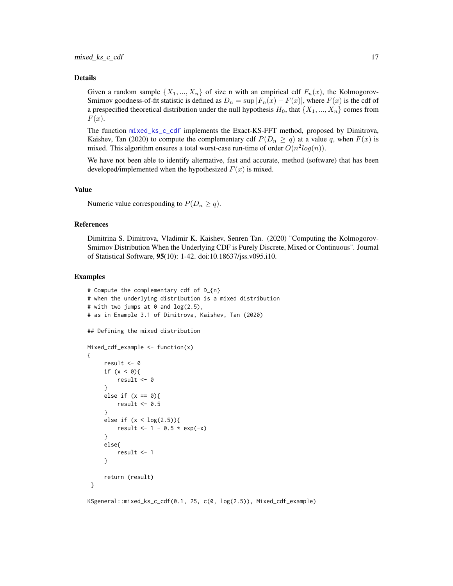#### <span id="page-16-0"></span>Details

Given a random sample  $\{X_1, ..., X_n\}$  of size n with an empirical cdf  $F_n(x)$ , the Kolmogorov-Smirnov goodness-of-fit statistic is defined as  $D_n = \sup |F_n(x) - F(x)|$ , where  $F(x)$  is the cdf of a prespecified theoretical distribution under the null hypothesis  $H_0$ , that  $\{X_1, ..., X_n\}$  comes from  $F(x)$ .

The function [mixed\\_ks\\_c\\_cdf](#page-15-1) implements the Exact-KS-FFT method, proposed by Dimitrova, Kaishev, Tan (2020) to compute the complementary cdf  $P(D_n \ge q)$  at a value q, when  $F(x)$  is mixed. This algorithm ensures a total worst-case run-time of order  $O(n^2 log(n))$ .

We have not been able to identify alternative, fast and accurate, method (software) that has been developed/implemented when the hypothesized  $F(x)$  is mixed.

#### Value

Numeric value corresponding to  $P(D_n \geq q)$ .

# References

Dimitrina S. Dimitrova, Vladimir K. Kaishev, Senren Tan. (2020) "Computing the Kolmogorov-Smirnov Distribution When the Underlying CDF is Purely Discrete, Mixed or Continuous". Journal of Statistical Software, 95(10): 1-42. doi:10.18637/jss.v095.i10.

#### Examples

```
# Compute the complementary cdf of D_{n}
# when the underlying distribution is a mixed distribution
# with two jumps at 0 and log(2.5),
# as in Example 3.1 of Dimitrova, Kaishev, Tan (2020)
## Defining the mixed distribution
Mixed_cdf_example <- function(x)
{
     result <- 0
     if (x < 0)result <- 0
     }
     else if (x == 0){
        result <-0.5}
     else if (x < log(2.5))result <- 1 - 0.5 * exp(-x)}
     else{
        result <- 1
     }
     return (result)
}
```
KSgeneral::mixed\_ks\_c\_cdf(0.1, 25, c(0, log(2.5)), Mixed\_cdf\_example)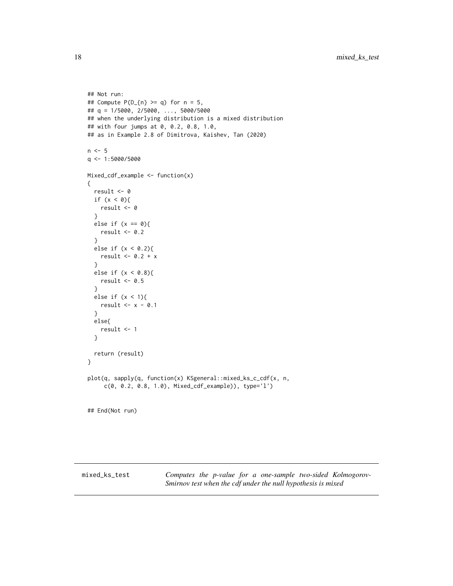```
## Not run:
## Compute P(D_{1} \geq -q) for n = 5,
## q = 1/5000, 2/5000, ..., 5000/5000
## when the underlying distribution is a mixed distribution
## with four jumps at 0, 0.2, 0.8, 1.0,
## as in Example 2.8 of Dimitrova, Kaishev, Tan (2020)
n < -5q <- 1:5000/5000
Mixed_cdf_example <- function(x)
{
  result <- 0
  if (x < 0){
   result <- 0
  }
  else if (x == 0){
   result <-0.2}
  else if (x < 0.2){
   result <- 0.2 + x
  }
  else if (x < 0.8){
   result <-0.5}
  else if (x < 1){
   result <- x - 0.1}
  else{
   result <- 1
  }
  return (result)
}
plot(q, sapply(q, function(x) KSgeneral::mixed_ks_c_cdf(x, n,
     c(0, 0.2, 0.8, 1.0), Mixed_cdf_example)), type='l')
## End(Not run)
```
<span id="page-17-1"></span>mixed\_ks\_test *Computes the p-value for a one-sample two-sided Kolmogorov-Smirnov test when the cdf under the null hypothesis is mixed*

<span id="page-17-0"></span>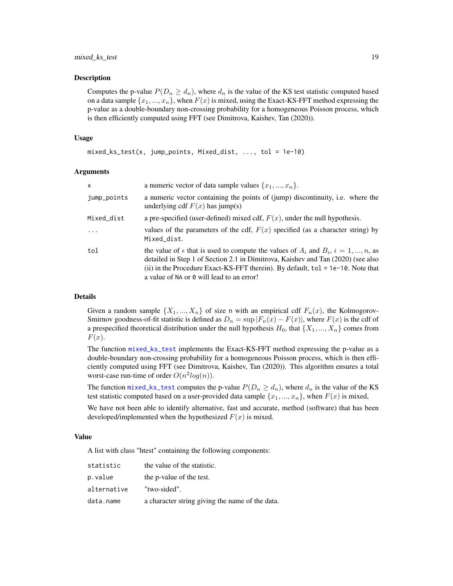# <span id="page-18-0"></span>mixed\_ks\_test 19

# Description

Computes the p-value  $P(D_n \geq d_n)$ , where  $d_n$  is the value of the KS test statistic computed based on a data sample  $\{x_1, ..., x_n\}$ , when  $F(x)$  is mixed, using the Exact-KS-FFT method expressing the p-value as a double-boundary non-crossing probability for a homogeneous Poisson process, which is then efficiently computed using FFT (see Dimitrova, Kaishev, Tan (2020)).

#### Usage

```
mixed_ks_test(x, jump\_points, Mixed_dist, ..., tol = 1e-10)
```
#### Arguments

| $\mathsf{x}$ | a numeric vector of data sample values $\{x_1, , x_n\}$ .                                                                                                                                                                                                                                                                |
|--------------|--------------------------------------------------------------------------------------------------------------------------------------------------------------------------------------------------------------------------------------------------------------------------------------------------------------------------|
| jump_points  | a numeric vector containing the points of (jump) discontinuity, i.e. where the<br>underlying cdf $F(x)$ has jump(s)                                                                                                                                                                                                      |
| Mixed_dist   | a pre-specified (user-defined) mixed cdf, $F(x)$ , under the null hypothesis.                                                                                                                                                                                                                                            |
| $\ddots$ .   | values of the parameters of the cdf, $F(x)$ specified (as a character string) by<br>Mixed_dist.                                                                                                                                                                                                                          |
| tol          | the value of $\epsilon$ that is used to compute the values of $A_i$ and $B_i$ , $i = 1, , n$ , as<br>detailed in Step 1 of Section 2.1 in Dimitrova, Kaishev and Tan (2020) (see also<br>(ii) in the Procedure Exact-KS-FFT therein). By default, $tol = 1e-10$ . Note that<br>a value of NA or 0 will lead to an error! |

# Details

Given a random sample  $\{X_1, ..., X_n\}$  of size n with an empirical cdf  $F_n(x)$ , the Kolmogorov-Smirnov goodness-of-fit statistic is defined as  $D_n = \sup |F_n(x) - F(x)|$ , where  $F(x)$  is the cdf of a prespecified theoretical distribution under the null hypothesis  $H_0$ , that  $\{X_1, ..., X_n\}$  comes from  $F(x)$ .

The function [mixed\\_ks\\_test](#page-17-1) implements the Exact-KS-FFT method expressing the p-value as a double-boundary non-crossing probability for a homogeneous Poisson process, which is then efficiently computed using FFT (see Dimitrova, Kaishev, Tan (2020)). This algorithm ensures a total worst-case run-time of order  $O(n^2 log(n))$ .

The function [mixed\\_ks\\_test](#page-17-1) computes the p-value  $P(D_n \geq d_n)$ , where  $d_n$  is the value of the KS test statistic computed based on a user-provided data sample  $\{x_1, ..., x_n\}$ , when  $F(x)$  is mixed,

We have not been able to identify alternative, fast and accurate, method (software) that has been developed/implemented when the hypothesized  $F(x)$  is mixed.

#### Value

A list with class "htest" containing the following components:

| statistic   | the value of the statistic.                     |
|-------------|-------------------------------------------------|
| p.value     | the p-value of the test.                        |
| alternative | "two-sided".                                    |
| data.name   | a character string giving the name of the data. |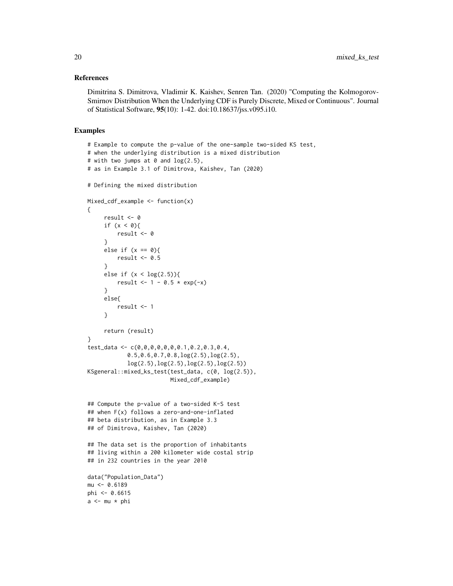### References

Dimitrina S. Dimitrova, Vladimir K. Kaishev, Senren Tan. (2020) "Computing the Kolmogorov-Smirnov Distribution When the Underlying CDF is Purely Discrete, Mixed or Continuous". Journal of Statistical Software, 95(10): 1-42. doi:10.18637/jss.v095.i10.

# Examples

```
# Example to compute the p-value of the one-sample two-sided KS test,
# when the underlying distribution is a mixed distribution
# with two jumps at 0 and log(2.5),
# as in Example 3.1 of Dimitrova, Kaishev, Tan (2020)
# Defining the mixed distribution
Mixed_cdf_example \leq-function(x)
{
     result <- 0
     if (x < 0)result <- 0
     }
     else if (x == 0)result <-0.5}
     else if (x < log(2.5)){
         result <- 1 - 0.5 * exp(-x)}
     else{
         result <- 1
     }
     return (result)
}
test_data <- c(0,0,0,0,0,0,0.1,0.2,0.3,0.4,
            0.5,0.6,0.7,0.8,log(2.5),log(2.5),
            log(2.5),log(2.5),log(2.5),log(2.5))
KSgeneral::mixed_ks_test(test_data, c(0, log(2.5)),
                         Mixed_cdf_example)
## Compute the p-value of a two-sided K-S test
## when F(x) follows a zero-and-one-inflated
## beta distribution, as in Example 3.3
## of Dimitrova, Kaishev, Tan (2020)
## The data set is the proportion of inhabitants
## living within a 200 kilometer wide costal strip
## in 232 countries in the year 2010
data("Population_Data")
mu <- 0.6189
phi <- 0.6615
a \leftarrow mu * phi
```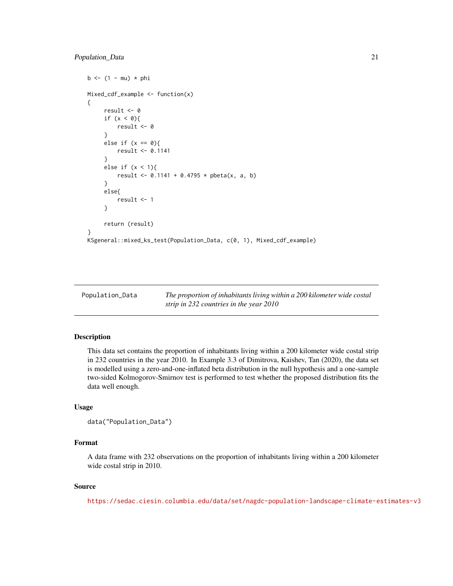```
b \le -(1 - mu) * phiMixed_cdf_example <- function(x)
{
     result <- 0
     if (x < 0){
         result <- 0
     }
     else if (x == 0){
         result <- 0.1141
     }
     else if (x < 1){
         result <- 0.1141 + 0.4795 * pbeta(x, a, b)
     }
     else{
         result <- 1
     }
     return (result)
}
KSgeneral::mixed_ks_test(Population_Data, c(0, 1), Mixed_cdf_example)
```

| Population_Data | The proportion of inhabitants living within a 200 kilometer wide costal |
|-----------------|-------------------------------------------------------------------------|
|                 | strip in 232 countries in the year 2010                                 |

# Description

This data set contains the proportion of inhabitants living within a 200 kilometer wide costal strip in 232 countries in the year 2010. In Example 3.3 of Dimitrova, Kaishev, Tan (2020), the data set is modelled using a zero-and-one-inflated beta distribution in the null hypothesis and a one-sample two-sided Kolmogorov-Smirnov test is performed to test whether the proposed distribution fits the data well enough.

# Usage

```
data("Population_Data")
```
# Format

A data frame with 232 observations on the proportion of inhabitants living within a 200 kilometer wide costal strip in 2010.

# Source

<https://sedac.ciesin.columbia.edu/data/set/nagdc-population-landscape-climate-estimates-v3>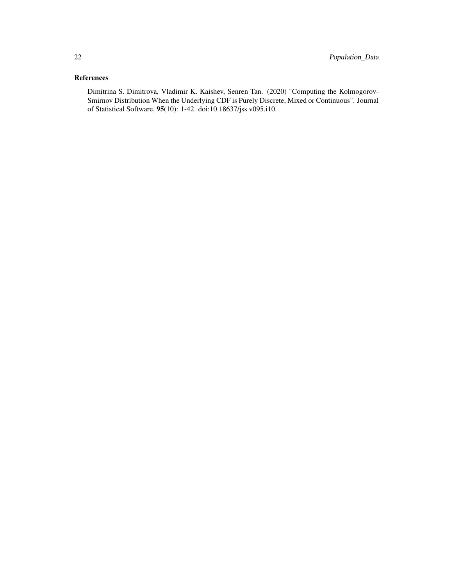# References

Dimitrina S. Dimitrova, Vladimir K. Kaishev, Senren Tan. (2020) "Computing the Kolmogorov-Smirnov Distribution When the Underlying CDF is Purely Discrete, Mixed or Continuous". Journal of Statistical Software, 95(10): 1-42. doi:10.18637/jss.v095.i10.